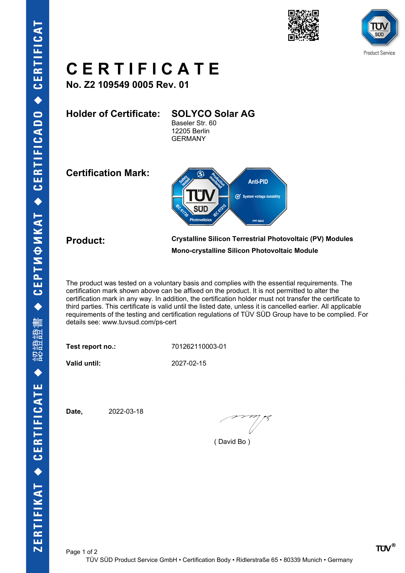





## **C E R T I F I C A T E**

**No. Z2 109549 0005 Rev. 01**

**Holder of Certificate: SOLYCO Solar AG** Baseler Str. 60 12205 Berlin GERMANY

**Certification Mark:**



**Product: Crystalline Silicon Terrestrial Photovoltaic (PV) Modules Mono-crystalline Silicon Photovoltaic Module**

The product was tested on a voluntary basis and complies with the essential requirements. The certification mark shown above can be affixed on the product. It is not permitted to alter the certification mark in any way. In addition, the certification holder must not transfer the certificate to third parties. This certificate is valid until the listed date, unless it is cancelled earlier. All applicable requirements of the testing and certification regulations of TÜV SÜD Group have to be complied. For details see: www.tuvsud.com/ps-cert

**Test report no.:** 701262110003-01

**Valid until:** 2027-02-15

**Date,** 2022-03-18

( David Bo )